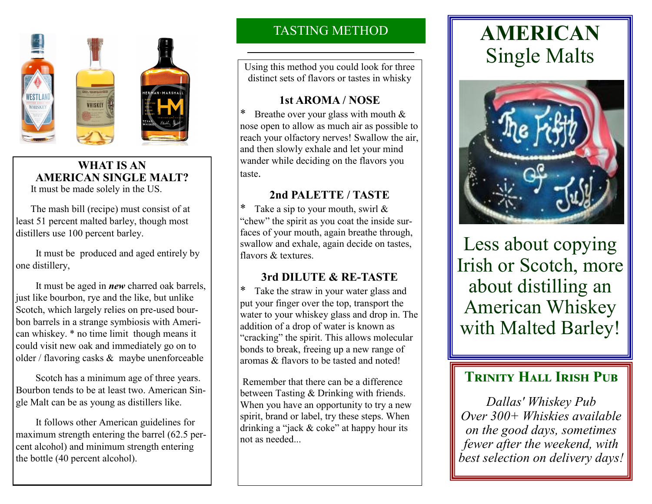

#### **WHAT IS AN AMERICAN SINGLE MALT?** It must be made solely in the US.

 The mash bill (recipe) must consist of at least 51 percent malted barley, though most distillers use 100 percent barley.

 It must be produced and aged entirely by one distillery,

 It must be aged in *new* charred oak barrels, just like bourbon, rye and the like, but unlike Scotch, which largely relies on pre-used bourbon barrels in a strange symbiosis with American whiskey. \* no time limit though means it could visit new oak and immediately go on to older / flavoring casks & maybe unenforceable

 Scotch has a minimum age of three years. Bourbon tends to be at least two. American Single Malt can be as young as distillers like.

 It follows other American guidelines for maximum strength entering the barrel (62.5 percent alcohol) and minimum strength entering the bottle (40 percent alcohol).

# TASTING METHOD

Using this method you could look for three distinct sets of flavors or tastes in whisky

## **1st AROMA / NOSE**

Breathe over your glass with mouth  $&$ nose open to allow as much air as possible to reach your olfactory nerves! Swallow the air, and then slowly exhale and let your mind wander while deciding on the flavors you taste.

# **2nd PALETTE / TASTE**

Take a sip to your mouth, swirl  $\&$ "chew" the spirit as you coat the inside surfaces of your mouth, again breathe through, swallow and exhale, again decide on tastes, flavors & textures.

# **3rd DILUTE & RE-TASTE**

\* Take the straw in your water glass and put your finger over the top, transport the water to your whiskey glass and drop in. The addition of a drop of water is known as "cracking" the spirit. This allows molecular bonds to break, freeing up a new range of aromas & flavors to be tasted and noted!

Remember that there can be a difference between Tasting & Drinking with friends. When you have an opportunity to try a new spirit, brand or label, try these steps. When drinking a "jack & coke" at happy hour its not as needed...

# **AMERICAN** Single Malts



Less about copying Irish or Scotch, more about distilling an American Whiskey with Malted Barley!

# **TRINITY HALL IRISH PUB**

*Dallas' Whiskey Pub Over 300+ Whiskies available on the good days, sometimes fewer after the weekend, with best selection on delivery days!*